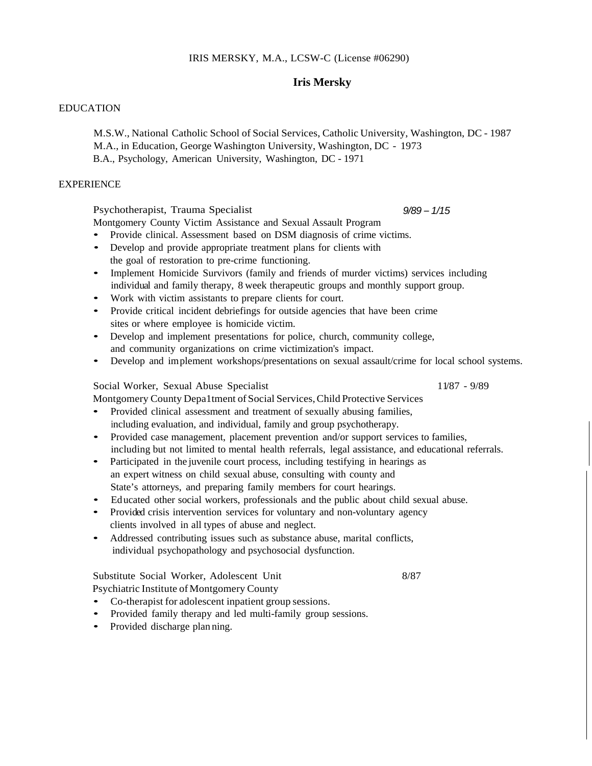#### IRIS MERSKY, M.A., LCSW-C (License #06290)

#### **Iris Mersky**

## EDUCATION

M.S.W., National Catholic School of Social Services, Catholic University, Washington, DC - 1987 M.A., in Education, George Washington University, Washington, DC - 1973 B.A., Psychology, American University, Washington, DC - 1971

#### **EXPERIENCE**

Psychotherapist, Trauma Specialist

Montgomery County Victim Assistance and Sexual Assault Program

- Provide clinical. Assessment based on DSM diagnosis of crime victims.
- Develop and provide appropriate treatment plans for clients with the goal of restoration to pre-crime functioning.
- Implement Homicide Survivors (family and friends of murder victims) services including individual and family therapy, 8 week therapeutic groups and monthly support group.
- Work with victim assistants to prepare clients for court.
- Provide critical incident debriefings for outside agencies that have been crime sites or where employee is homicide victim.
- Develop and implement presentations for police, church, community college, and community organizations on crime victimization's impact.
- Develop and implement workshops/presentations on sexual assault/crime for local school systems.

### Social Worker, Sexual Abuse Specialist 11/87 - 9/89

Montgomery County Depa1tment of Social Services,Child Protective Services

- Provided clinical assessment and treatment of sexually abusing families, including evaluation, and individual, family and group psychotherapy.
- Provided case management, placement prevention and/or support services to families, including but not limited to mental health referrals, legal assistance, and educational referrals.
- Participated in the juvenile court process, including testifying in hearings as an expert witness on child sexual abuse, consulting with county and State's attorneys, and preparing family members for court hearings.
- Educated other social workers, professionals and the public about child sexual abuse.
- Provided crisis intervention services for voluntary and non-voluntary agency clients involved in all types of abuse and neglect.
- Addressed contributing issues such as substance abuse, marital conflicts, individual psychopathology and psychosocial dysfunction.

# Substitute Social Worker, Adolescent Unit 8/87

Psychiatric Institute of Montgomery County

- Co-therapist for adolescent inpatient group sessions.
- Provided family therapy and led multi-family group sessions.
- Provided discharge plan ning.

*9/89 – 1/15*